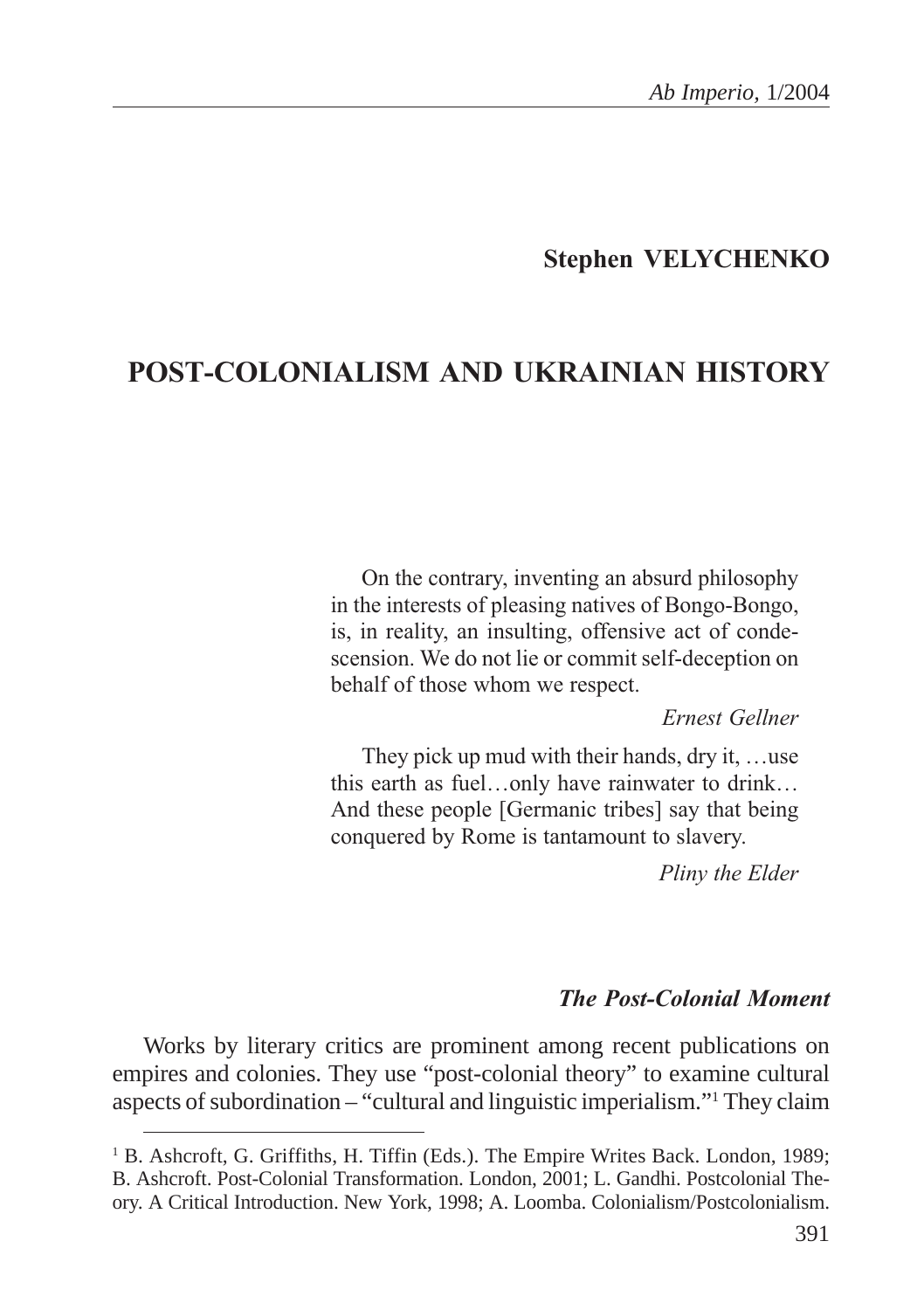## **Stephen VELYCHENKO**

# POST-COLONIALISM AND UKRAINIAN HISTORY

On the contrary, inventing an absurd philosophy in the interests of pleasing natives of Bongo-Bongo, is, in reality, an insulting, offensive act of condescension. We do not lie or commit self-deception on behalf of those whom we respect.

#### Ernest Gellner

They pick up mud with their hands, dry it, ...use this earth as fuel...only have rainwater to drink... And these people [Germanic tribes] say that being conquered by Rome is tantamount to slavery.

Pliny the Elder

#### **The Post-Colonial Moment**

Works by literary critics are prominent among recent publications on empires and colonies. They use "post-colonial theory" to examine cultural aspects of subordination – "cultural and linguistic imperialism."1 They claim

<sup>&</sup>lt;sup>1</sup> B. Ashcroft, G. Griffiths, H. Tiffin (Eds.). The Empire Writes Back. London, 1989; B. Ashcroft. Post-Colonial Transformation. London, 2001; L. Gandhi. Postcolonial Theory. A Critical Introduction. New York, 1998; A. Loomba. Colonialism/Postcolonialism.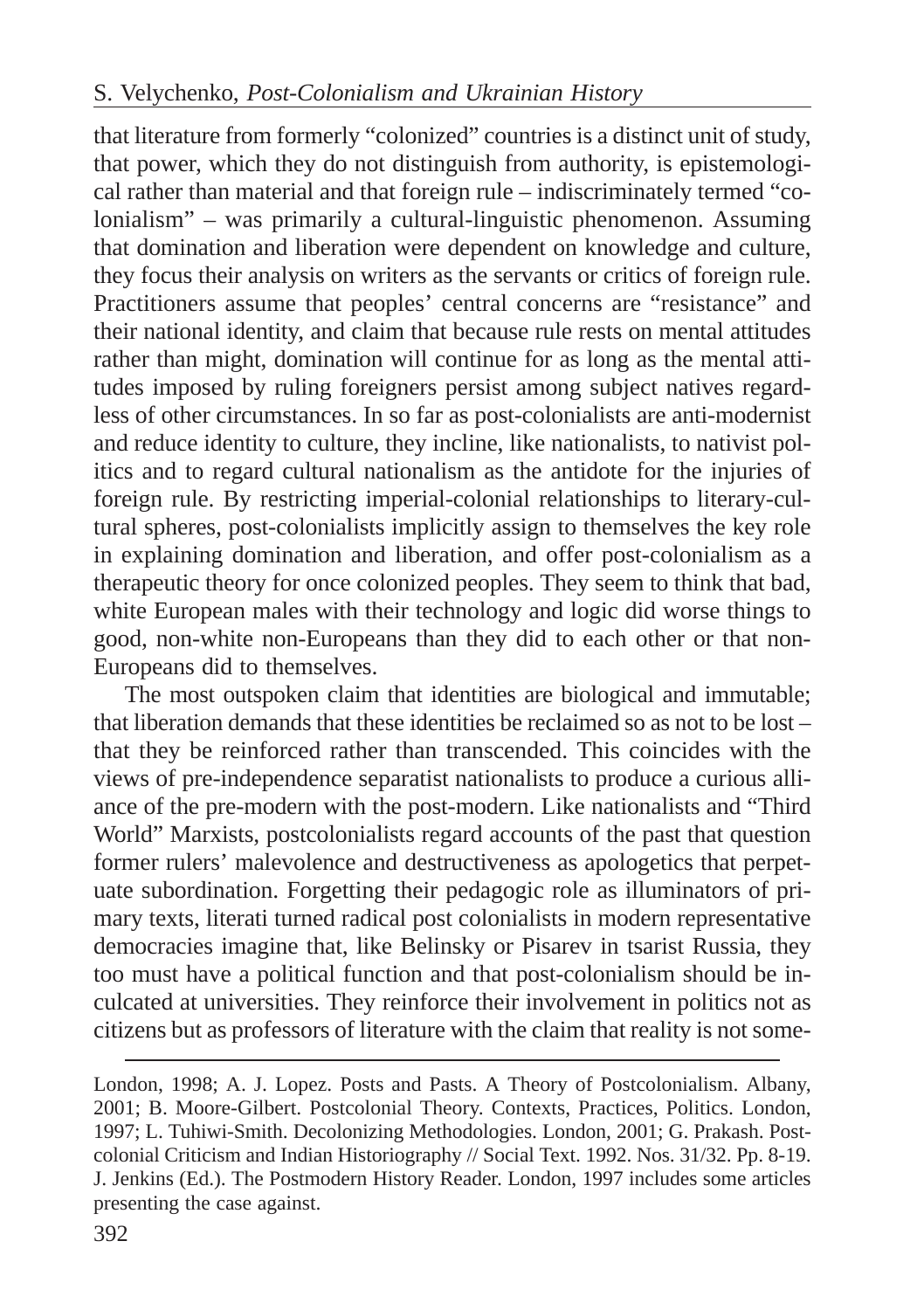that literature from formerly "colonized" countries is a distinct unit of study, that power, which they do not distinguish from authority, is epistemological rather than material and that foreign rule – indiscriminately termed "colonialism" – was primarily a cultural-linguistic phenomenon. Assuming that domination and liberation were dependent on knowledge and culture, they focus their analysis on writers as the servants or critics of foreign rule. Practitioners assume that peoples' central concerns are "resistance" and their national identity, and claim that because rule rests on mental attitudes rather than might, domination will continue for as long as the mental attitudes imposed by ruling foreigners persist among subject natives regardless of other circumstances. In so far as post-colonialists are anti-modernist and reduce identity to culture, they incline, like nationalists, to nativist politics and to regard cultural nationalism as the antidote for the injuries of foreign rule. By restricting imperial-colonial relationships to literary-cultural spheres, post-colonialists implicitly assign to themselves the key role in explaining domination and liberation, and offer post-colonialism as a therapeutic theory for once colonized peoples. They seem to think that bad, white European males with their technology and logic did worse things to good, non-white non-Europeans than they did to each other or that non-Europeans did to themselves.

The most outspoken claim that identities are biological and immutable; that liberation demands that these identities be reclaimed so as not to be lost – that they be reinforced rather than transcended. This coincides with the views of pre-independence separatist nationalists to produce a curious alliance of the pre-modern with the post-modern. Like nationalists and "Third World" Marxists, postcolonialists regard accounts of the past that question former rulers' malevolence and destructiveness as apologetics that perpetuate subordination. Forgetting their pedagogic role as illuminators of primary texts, literati turned radical post colonialists in modern representative democracies imagine that, like Belinsky or Pisarev in tsarist Russia, they too must have a political function and that post-colonialism should be inculcated at universities. They reinforce their involvement in politics not as citizens but as professors of literature with the claim that reality is not some-

London, 1998; A. J. Lopez. Posts and Pasts. A Theory of Postcolonialism. Albany, 2001; B. Moore-Gilbert. Postcolonial Theory. Contexts, Practices, Politics. London, 1997; L. Tuhiwi-Smith. Decolonizing Methodologies. London, 2001; G. Prakash. Postcolonial Criticism and Indian Historiography // Social Text. 1992. Nos. 31/32. Pp. 8-19. J. Jenkins (Ed.). The Postmodern History Reader. London, 1997 includes some articles presenting the case against.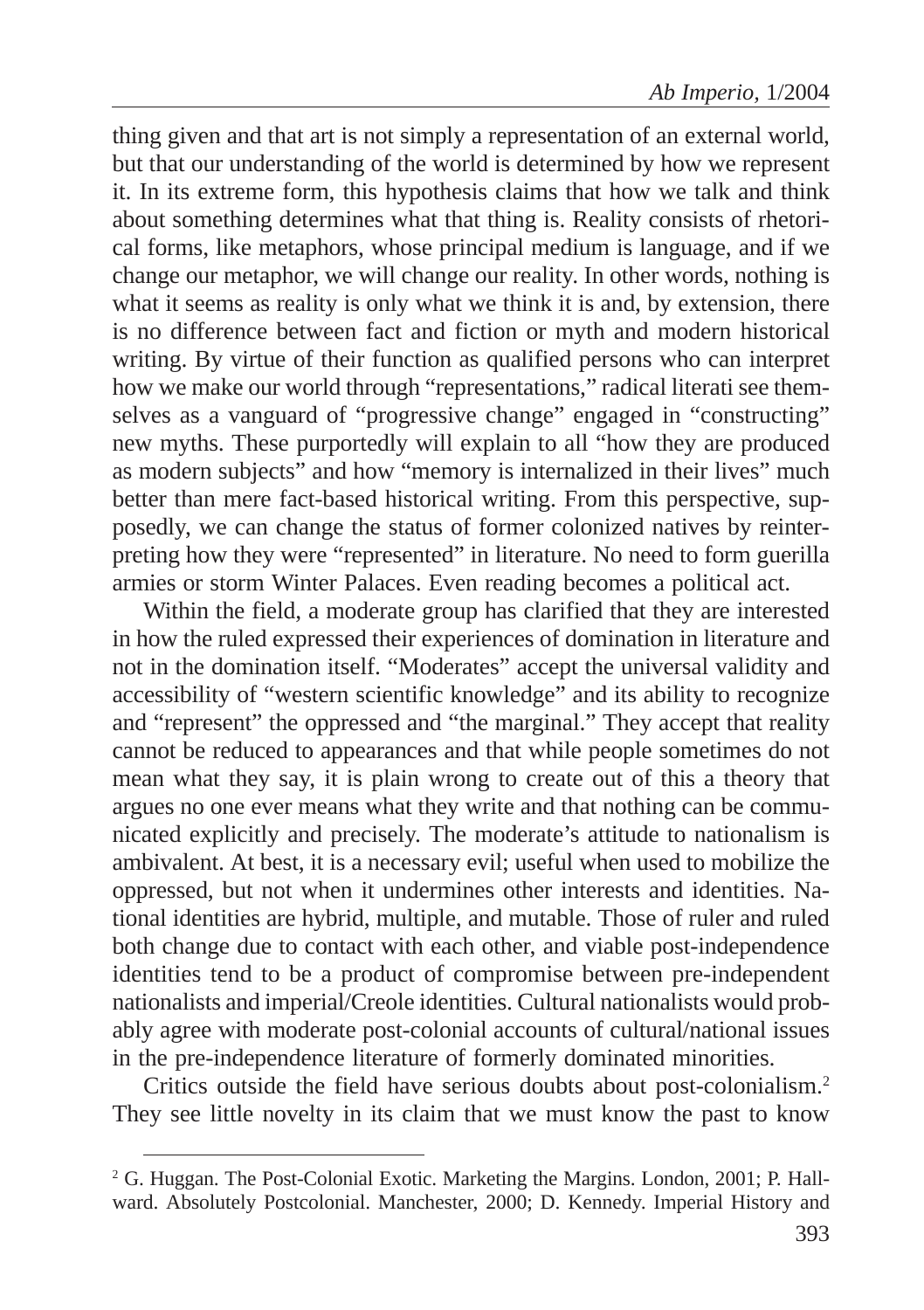thing given and that art is not simply a representation of an external world, but that our understanding of the world is determined by how we represent it. In its extreme form, this hypothesis claims that how we talk and think about something determines what that thing is. Reality consists of rhetorical forms, like metaphors, whose principal medium is language, and if we change our metaphor, we will change our reality. In other words, nothing is what it seems as reality is only what we think it is and, by extension, there is no difference between fact and fiction or myth and modern historical writing. By virtue of their function as qualified persons who can interpret how we make our world through "representations," radical literati see themselves as a vanguard of "progressive change" engaged in "constructing" new myths. These purportedly will explain to all "how they are produced as modern subjects" and how "memory is internalized in their lives" much better than mere fact-based historical writing. From this perspective, supposedly, we can change the status of former colonized natives by reinterpreting how they were "represented" in literature. No need to form guerilla armies or storm Winter Palaces. Even reading becomes a political act.

Within the field, a moderate group has clarified that they are interested in how the ruled expressed their experiences of domination in literature and not in the domination itself. "Moderates" accept the universal validity and accessibility of "western scientific knowledge" and its ability to recognize and "represent" the oppressed and "the marginal." They accept that reality cannot be reduced to appearances and that while people sometimes do not mean what they say, it is plain wrong to create out of this a theory that argues no one ever means what they write and that nothing can be communicated explicitly and precisely. The moderate's attitude to nationalism is ambivalent. At best, it is a necessary evil; useful when used to mobilize the oppressed, but not when it undermines other interests and identities. National identities are hybrid, multiple, and mutable. Those of ruler and ruled both change due to contact with each other, and viable post-independence identities tend to be a product of compromise between pre-independent nationalists and imperial/Creole identities. Cultural nationalists would probably agree with moderate post-colonial accounts of cultural/national issues in the pre-independence literature of formerly dominated minorities.

Critics outside the field have serious doubts about post-colonialism.2 They see little novelty in its claim that we must know the past to know

<sup>&</sup>lt;sup>2</sup> G. Huggan. The Post-Colonial Exotic. Marketing the Margins. London, 2001; P. Hallward. Absolutely Postcolonial. Manchester, 2000; D. Kennedy. Imperial History and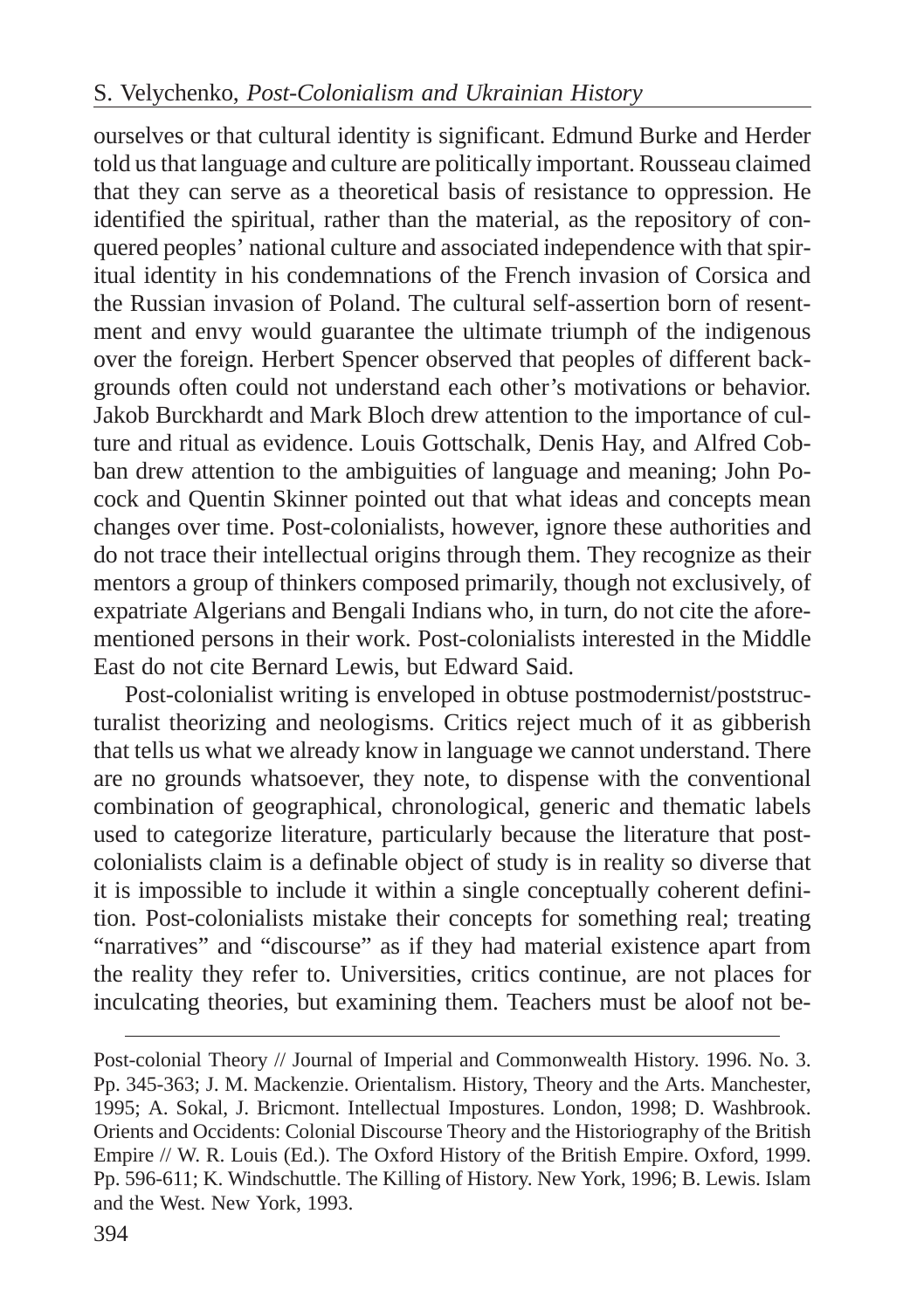ourselves or that cultural identity is significant. Edmund Burke and Herder told us that language and culture are politically important. Rousseau claimed that they can serve as a theoretical basis of resistance to oppression. He identified the spiritual, rather than the material, as the repository of conquered peoples' national culture and associated independence with that spiritual identity in his condemnations of the French invasion of Corsica and the Russian invasion of Poland. The cultural self-assertion born of resentment and envy would guarantee the ultimate triumph of the indigenous over the foreign. Herbert Spencer observed that peoples of different backgrounds often could not understand each other's motivations or behavior. Jakob Burckhardt and Mark Bloch drew attention to the importance of culture and ritual as evidence. Louis Gottschalk, Denis Hay, and Alfred Cobban drew attention to the ambiguities of language and meaning; John Pocock and Quentin Skinner pointed out that what ideas and concepts mean changes over time. Post-colonialists, however, ignore these authorities and do not trace their intellectual origins through them. They recognize as their mentors a group of thinkers composed primarily, though not exclusively, of expatriate Algerians and Bengali Indians who, in turn, do not cite the aforementioned persons in their work. Post-colonialists interested in the Middle East do not cite Bernard Lewis, but Edward Said.

Post-colonialist writing is enveloped in obtuse postmodernist/poststructuralist theorizing and neologisms. Critics reject much of it as gibberish that tells us what we already know in language we cannot understand. There are no grounds whatsoever, they note, to dispense with the conventional combination of geographical, chronological, generic and thematic labels used to categorize literature, particularly because the literature that postcolonialists claim is a definable object of study is in reality so diverse that it is impossible to include it within a single conceptually coherent definition. Post-colonialists mistake their concepts for something real; treating "narratives" and "discourse" as if they had material existence apart from the reality they refer to. Universities, critics continue, are not places for inculcating theories, but examining them. Teachers must be aloof not be-

Post-colonial Theory // Journal of Imperial and Commonwealth History. 1996. No. 3. Pp. 345-363; J. M. Mackenzie. Orientalism. History, Theory and the Arts. Manchester, 1995; A. Sokal, J. Bricmont. Intellectual Impostures. London, 1998; D. Washbrook. Orients and Occidents: Colonial Discourse Theory and the Historiography of the British Empire // W. R. Louis (Ed.). The Oxford History of the British Empire. Oxford, 1999. Pp. 596-611; K. Windschuttle. The Killing of History. New York, 1996; B. Lewis. Islam and the West. New York, 1993.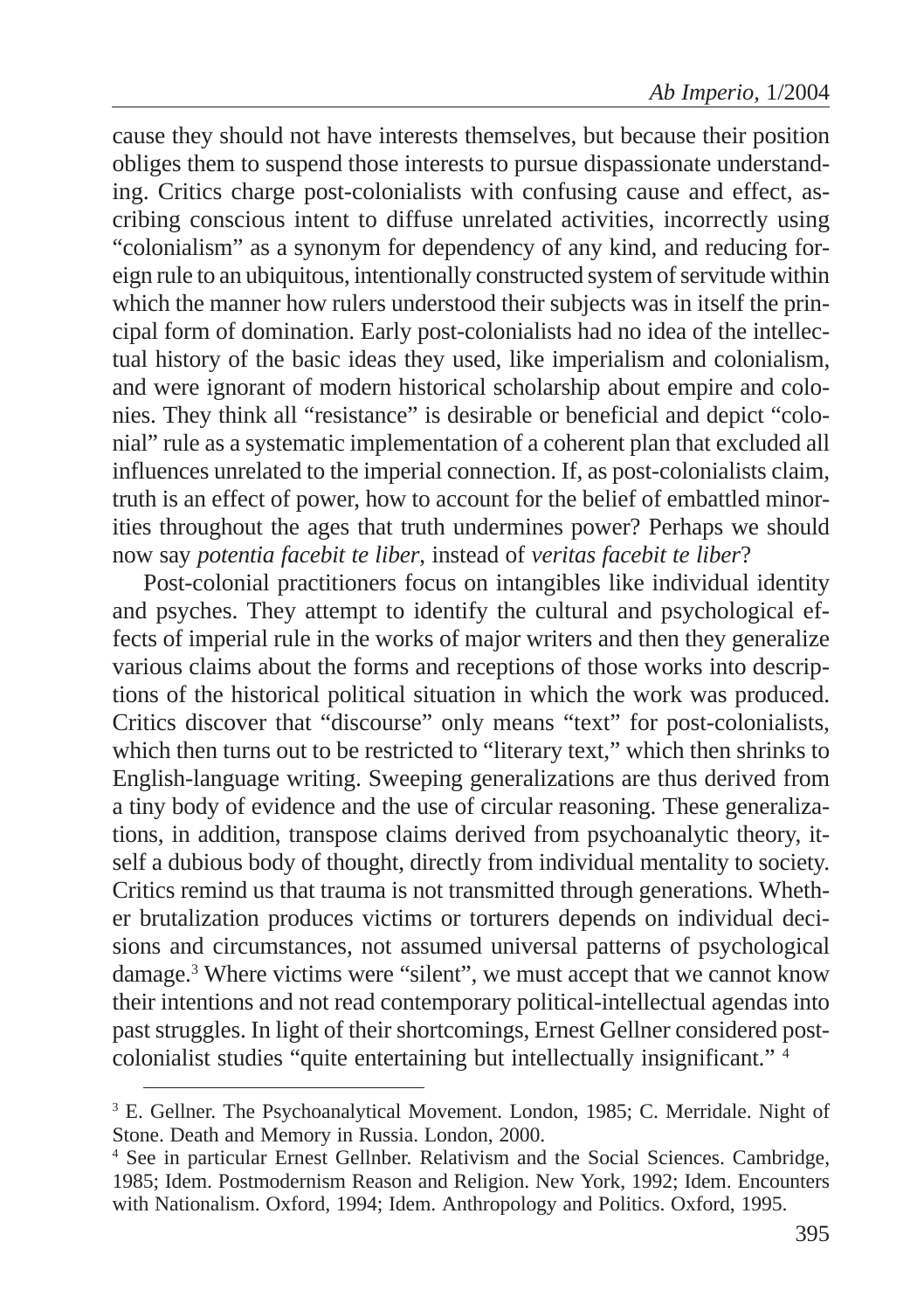cause they should not have interests themselves, but because their position obliges them to suspend those interests to pursue dispassionate understanding. Critics charge post-colonialists with confusing cause and effect, ascribing conscious intent to diffuse unrelated activities, incorrectly using "colonialism" as a synonym for dependency of any kind, and reducing foreign rule to an ubiquitous, intentionally constructed system of servitude within which the manner how rulers understood their subjects was in itself the principal form of domination. Early post-colonialists had no idea of the intellectual history of the basic ideas they used, like imperialism and colonialism, and were ignorant of modern historical scholarship about empire and colonies. They think all "resistance" is desirable or beneficial and depict "colonial" rule as a systematic implementation of a coherent plan that excluded all influences unrelated to the imperial connection. If, as post-colonialists claim, truth is an effect of power, how to account for the belief of embattled minorities throughout the ages that truth undermines power? Perhaps we should now say *potentia facebit te liber*, instead of *veritas facebit te liber*?

Post-colonial practitioners focus on intangibles like individual identity and psyches. They attempt to identify the cultural and psychological effects of imperial rule in the works of major writers and then they generalize various claims about the forms and receptions of those works into descriptions of the historical political situation in which the work was produced. Critics discover that "discourse" only means "text" for post-colonialists, which then turns out to be restricted to "literary text," which then shrinks to English-language writing. Sweeping generalizations are thus derived from a tiny body of evidence and the use of circular reasoning. These generalizations, in addition, transpose claims derived from psychoanalytic theory, itself a dubious body of thought, directly from individual mentality to society. Critics remind us that trauma is not transmitted through generations. Whether brutalization produces victims or torturers depends on individual decisions and circumstances, not assumed universal patterns of psychological damage.3 Where victims were "silent", we must accept that we cannot know their intentions and not read contemporary political-intellectual agendas into past struggles. In light of their shortcomings, Ernest Gellner considered postcolonialist studies "quite entertaining but intellectually insignificant." <sup>4</sup>

<sup>&</sup>lt;sup>3</sup> E. Gellner. The Psychoanalytical Movement. London, 1985; C. Merridale. Night of Stone. Death and Memory in Russia. London, 2000.

<sup>4</sup> See in particular Ernest Gellnber. Relativism and the Social Sciences. Cambridge, 1985; Idem. Postmodernism Reason and Religion. New York, 1992; Idem. Encounters with Nationalism. Oxford, 1994; Idem. Anthropology and Politics. Oxford, 1995.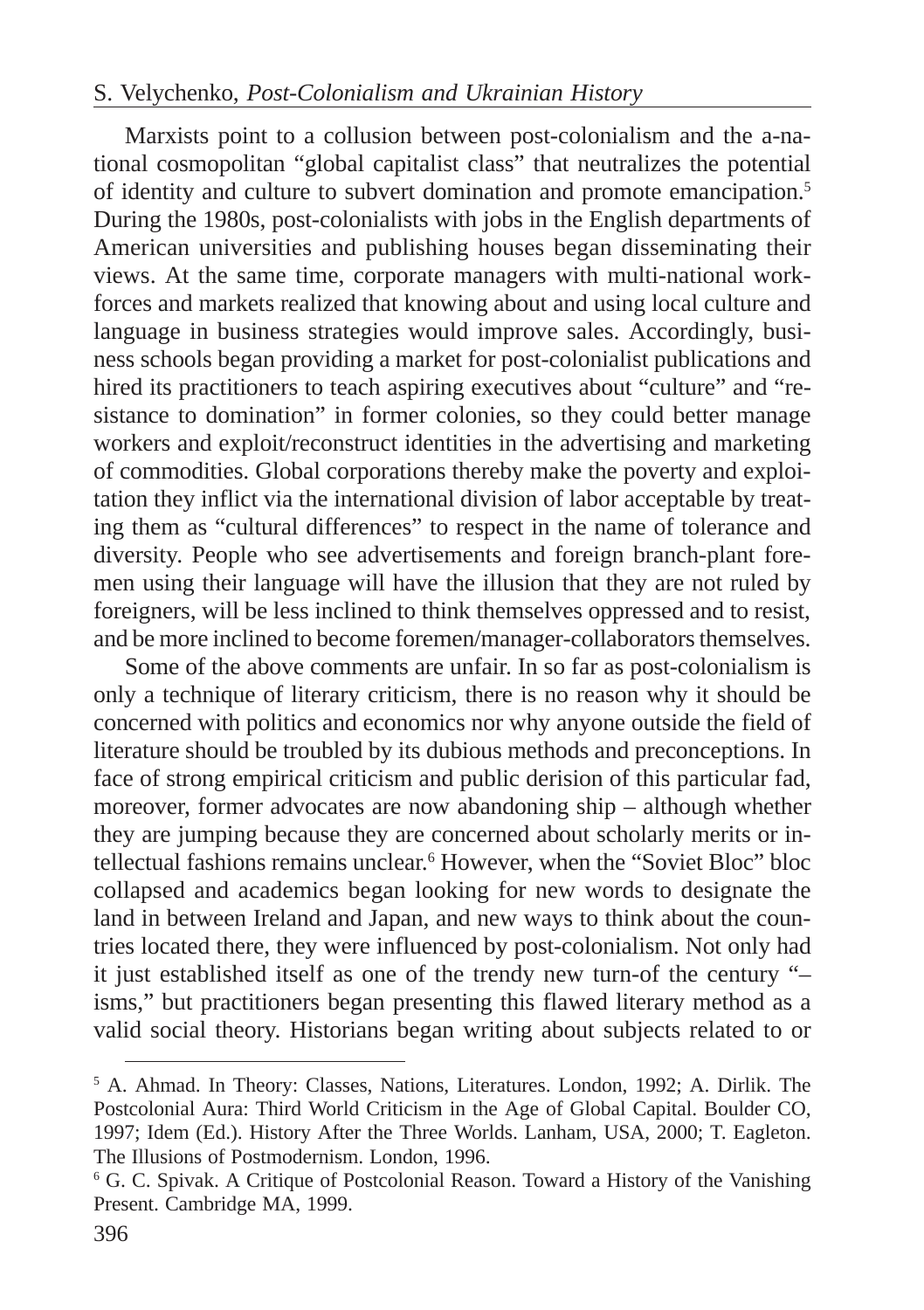### S. Velychenko, *Post-Colonialism and Ukrainian History*

Marxists point to a collusion between post-colonialism and the a-national cosmopolitan "global capitalist class" that neutralizes the potential of identity and culture to subvert domination and promote emancipation.5 During the 1980s, post-colonialists with jobs in the English departments of American universities and publishing houses began disseminating their views. At the same time, corporate managers with multi-national workforces and markets realized that knowing about and using local culture and language in business strategies would improve sales. Accordingly, business schools began providing a market for post-colonialist publications and hired its practitioners to teach aspiring executives about "culture" and "resistance to domination" in former colonies, so they could better manage workers and exploit/reconstruct identities in the advertising and marketing of commodities. Global corporations thereby make the poverty and exploitation they inflict via the international division of labor acceptable by treating them as "cultural differences" to respect in the name of tolerance and diversity. People who see advertisements and foreign branch-plant foremen using their language will have the illusion that they are not ruled by foreigners, will be less inclined to think themselves oppressed and to resist, and be more inclined to become foremen/manager-collaborators themselves.

Some of the above comments are unfair. In so far as post-colonialism is only a technique of literary criticism, there is no reason why it should be concerned with politics and economics nor why anyone outside the field of literature should be troubled by its dubious methods and preconceptions. In face of strong empirical criticism and public derision of this particular fad, moreover, former advocates are now abandoning ship – although whether they are jumping because they are concerned about scholarly merits or intellectual fashions remains unclear.<sup>6</sup> However, when the "Soviet Bloc" bloc collapsed and academics began looking for new words to designate the land in between Ireland and Japan, and new ways to think about the countries located there, they were influenced by post-colonialism. Not only had it just established itself as one of the trendy new turn-of the century "– isms," but practitioners began presenting this flawed literary method as a valid social theory. Historians began writing about subjects related to or

<sup>5</sup> A. Ahmad. In Theory: Classes, Nations, Literatures. London, 1992; A. Dirlik. The Postcolonial Aura: Third World Criticism in the Age of Global Capital. Boulder CO, 1997; Idem (Ed.). History After the Three Worlds. Lanham, USA, 2000; T. Eagleton. The Illusions of Postmodernism. London, 1996.

<sup>6</sup> G. C. Spivak. A Critique of Postcolonial Reason. Toward a History of the Vanishing Present. Cambridge MA, 1999.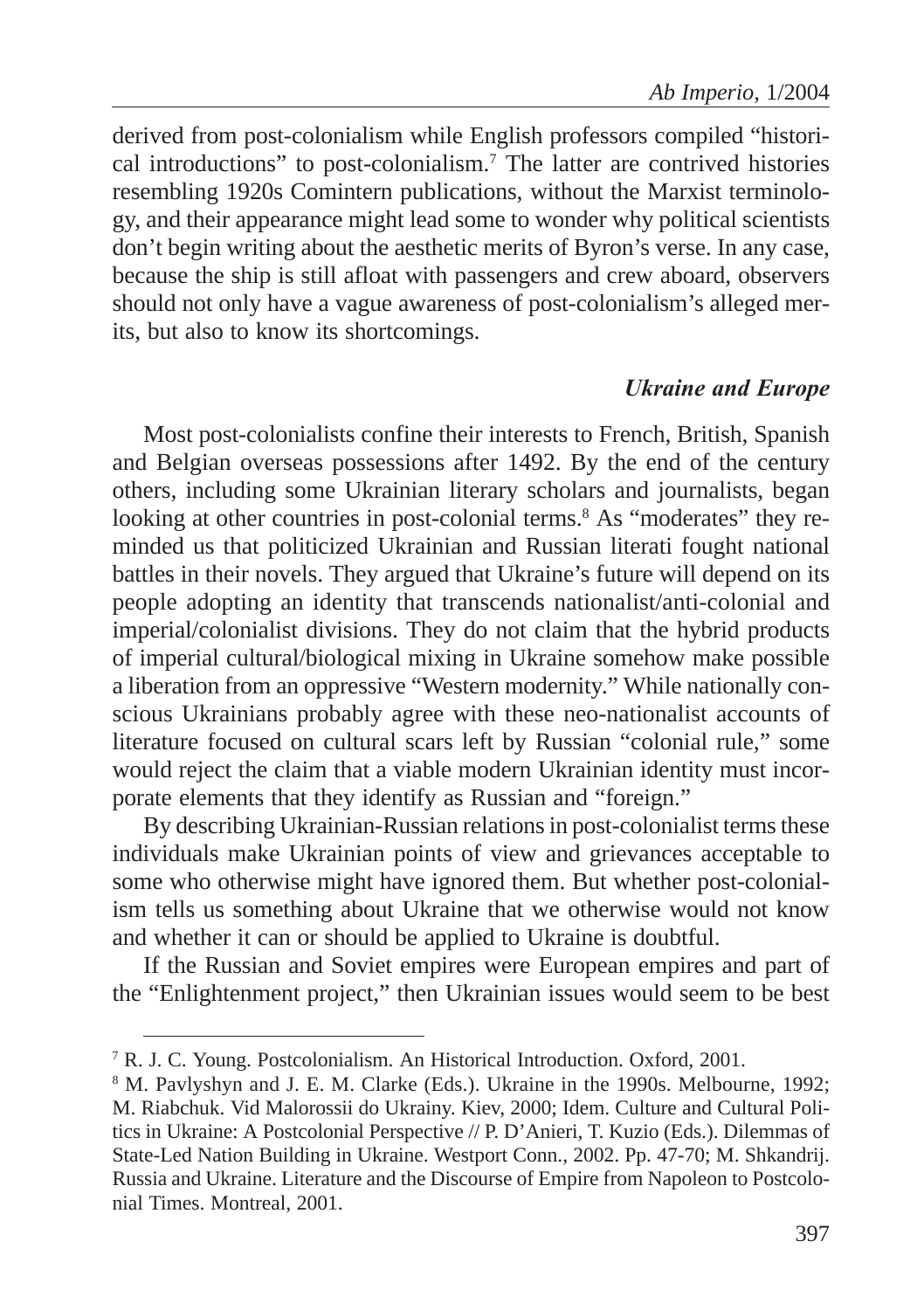derived from post-colonialism while English professors compiled "historical introductions" to post-colonialism.7 The latter are contrived histories resembling 1920s Comintern publications, without the Marxist terminology, and their appearance might lead some to wonder why political scientists don't begin writing about the aesthetic merits of Byron's verse. In any case, because the ship is still afloat with passengers and crew aboard, observers should not only have a vague awareness of post-colonialism's alleged merits, but also to know its shortcomings.

#### **Ukraine and Europe**

Most post-colonialists confine their interests to French, British, Spanish and Belgian overseas possessions after 1492. By the end of the century others, including some Ukrainian literary scholars and journalists, began looking at other countries in post-colonial terms.<sup>8</sup> As "moderates" they reminded us that politicized Ukrainian and Russian literati fought national battles in their novels. They argued that Ukraine's future will depend on its people adopting an identity that transcends nationalist/anti-colonial and imperial/colonialist divisions. They do not claim that the hybrid products of imperial cultural/biological mixing in Ukraine somehow make possible a liberation from an oppressive "Western modernity." While nationally conscious Ukrainians probably agree with these neo-nationalist accounts of literature focused on cultural scars left by Russian "colonial rule," some would reject the claim that a viable modern Ukrainian identity must incorporate elements that they identify as Russian and "foreign."

By describing Ukrainian-Russian relations in post-colonialist terms these individuals make Ukrainian points of view and grievances acceptable to some who otherwise might have ignored them. But whether post-colonialism tells us something about Ukraine that we otherwise would not know and whether it can or should be applied to Ukraine is doubtful.

If the Russian and Soviet empires were European empires and part of the "Enlightenment project," then Ukrainian issues would seem to be best

<sup>7</sup> R. J. C. Young. Postcolonialism. An Historical Introduction. Oxford, 2001.

<sup>8</sup> M. Pavlyshyn and J. E. M. Clarke (Eds.). Ukraine in the 1990s. Melbourne, 1992; M. Riabchuk. Vid Malorossii do Ukrainy. Kiev, 2000; Idem. Culture and Cultural Politics in Ukraine: A Postcolonial Perspective // P. D'Anieri, T. Kuzio (Eds.). Dilemmas of State-Led Nation Building in Ukraine. Westport Conn., 2002. Pp. 47-70; M. Shkandrij. Russia and Ukraine. Literature and the Discourse of Empire from Napoleon to Postcolonial Times. Montreal, 2001.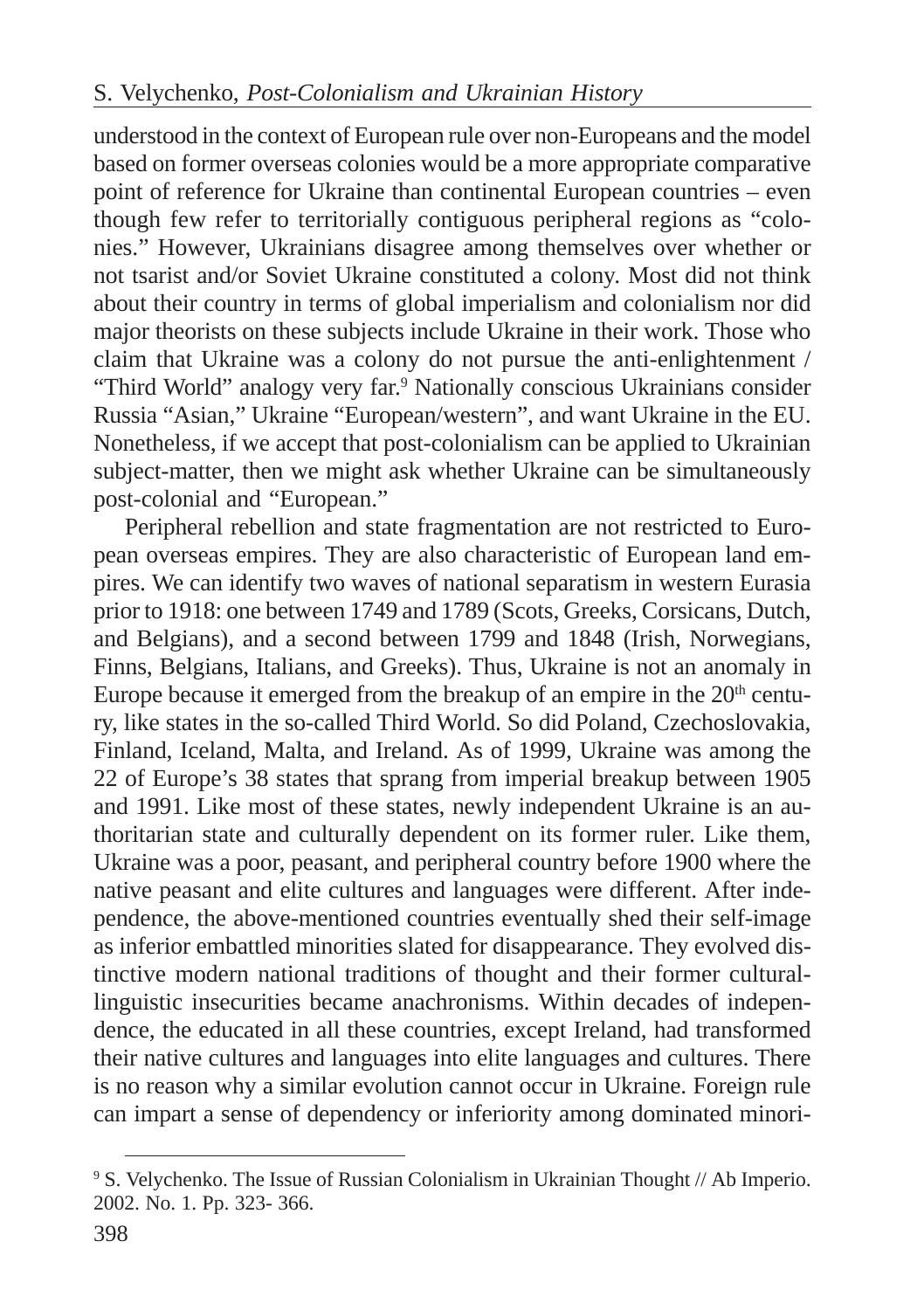understood in the context of European rule over non-Europeans and the model based on former overseas colonies would be a more appropriate comparative point of reference for Ukraine than continental European countries – even though few refer to territorially contiguous peripheral regions as "colonies." However, Ukrainians disagree among themselves over whether or not tsarist and/or Soviet Ukraine constituted a colony. Most did not think about their country in terms of global imperialism and colonialism nor did major theorists on these subjects include Ukraine in their work. Those who claim that Ukraine was a colony do not pursue the anti-enlightenment / "Third World" analogy very far.<sup>9</sup> Nationally conscious Ukrainians consider Russia "Asian," Ukraine "European/western", and want Ukraine in the EU. Nonetheless, if we accept that post-colonialism can be applied to Ukrainian subject-matter, then we might ask whether Ukraine can be simultaneously post-colonial and "European."

Peripheral rebellion and state fragmentation are not restricted to European overseas empires. They are also characteristic of European land empires. We can identify two waves of national separatism in western Eurasia prior to 1918: one between 1749 and 1789 (Scots, Greeks, Corsicans, Dutch, and Belgians), and a second between 1799 and 1848 (Irish, Norwegians, Finns, Belgians, Italians, and Greeks). Thus, Ukraine is not an anomaly in Europe because it emerged from the breakup of an empire in the  $20<sup>th</sup>$  century, like states in the so-called Third World. So did Poland, Czechoslovakia, Finland, Iceland, Malta, and Ireland. As of 1999, Ukraine was among the 22 of Europe's 38 states that sprang from imperial breakup between 1905 and 1991. Like most of these states, newly independent Ukraine is an authoritarian state and culturally dependent on its former ruler. Like them, Ukraine was a poor, peasant, and peripheral country before 1900 where the native peasant and elite cultures and languages were different. After independence, the above-mentioned countries eventually shed their self-image as inferior embattled minorities slated for disappearance. They evolved distinctive modern national traditions of thought and their former culturallinguistic insecurities became anachronisms. Within decades of independence, the educated in all these countries, except Ireland, had transformed their native cultures and languages into elite languages and cultures. There is no reason why a similar evolution cannot occur in Ukraine. Foreign rule can impart a sense of dependency or inferiority among dominated minori-

<sup>9</sup> S. Velychenko. The Issue of Russian Colonialism in Ukrainian Thought // Ab Imperio. 2002. No. 1. Pp. 323- 366.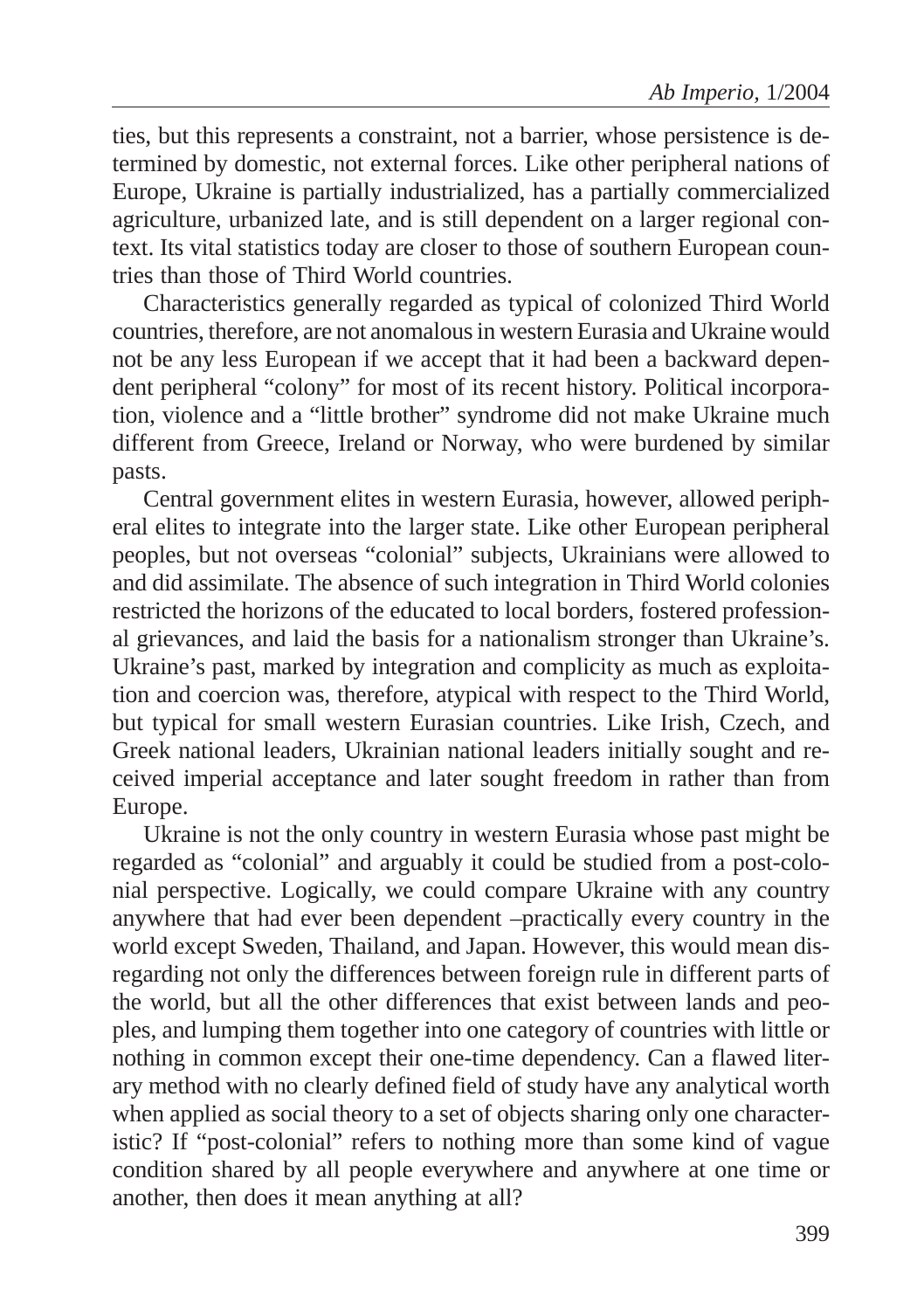ties, but this represents a constraint, not a barrier, whose persistence is determined by domestic, not external forces. Like other peripheral nations of Europe, Ukraine is partially industrialized, has a partially commercialized agriculture, urbanized late, and is still dependent on a larger regional context. Its vital statistics today are closer to those of southern European countries than those of Third World countries.

Characteristics generally regarded as typical of colonized Third World countries, therefore, are not anomalous in western Eurasia and Ukraine would not be any less European if we accept that it had been a backward dependent peripheral "colony" for most of its recent history. Political incorporation, violence and a "little brother" syndrome did not make Ukraine much different from Greece, Ireland or Norway, who were burdened by similar pasts.

Central government elites in western Eurasia, however, allowed peripheral elites to integrate into the larger state. Like other European peripheral peoples, but not overseas "colonial" subjects, Ukrainians were allowed to and did assimilate. The absence of such integration in Third World colonies restricted the horizons of the educated to local borders, fostered professional grievances, and laid the basis for a nationalism stronger than Ukraine's. Ukraine's past, marked by integration and complicity as much as exploitation and coercion was, therefore, atypical with respect to the Third World, but typical for small western Eurasian countries. Like Irish, Czech, and Greek national leaders, Ukrainian national leaders initially sought and received imperial acceptance and later sought freedom in rather than from Europe.

Ukraine is not the only country in western Eurasia whose past might be regarded as "colonial" and arguably it could be studied from a post-colonial perspective. Logically, we could compare Ukraine with any country anywhere that had ever been dependent –practically every country in the world except Sweden, Thailand, and Japan. However, this would mean disregarding not only the differences between foreign rule in different parts of the world, but all the other differences that exist between lands and peoples, and lumping them together into one category of countries with little or nothing in common except their one-time dependency. Can a flawed literary method with no clearly defined field of study have any analytical worth when applied as social theory to a set of objects sharing only one characteristic? If "post-colonial" refers to nothing more than some kind of vague condition shared by all people everywhere and anywhere at one time or another, then does it mean anything at all?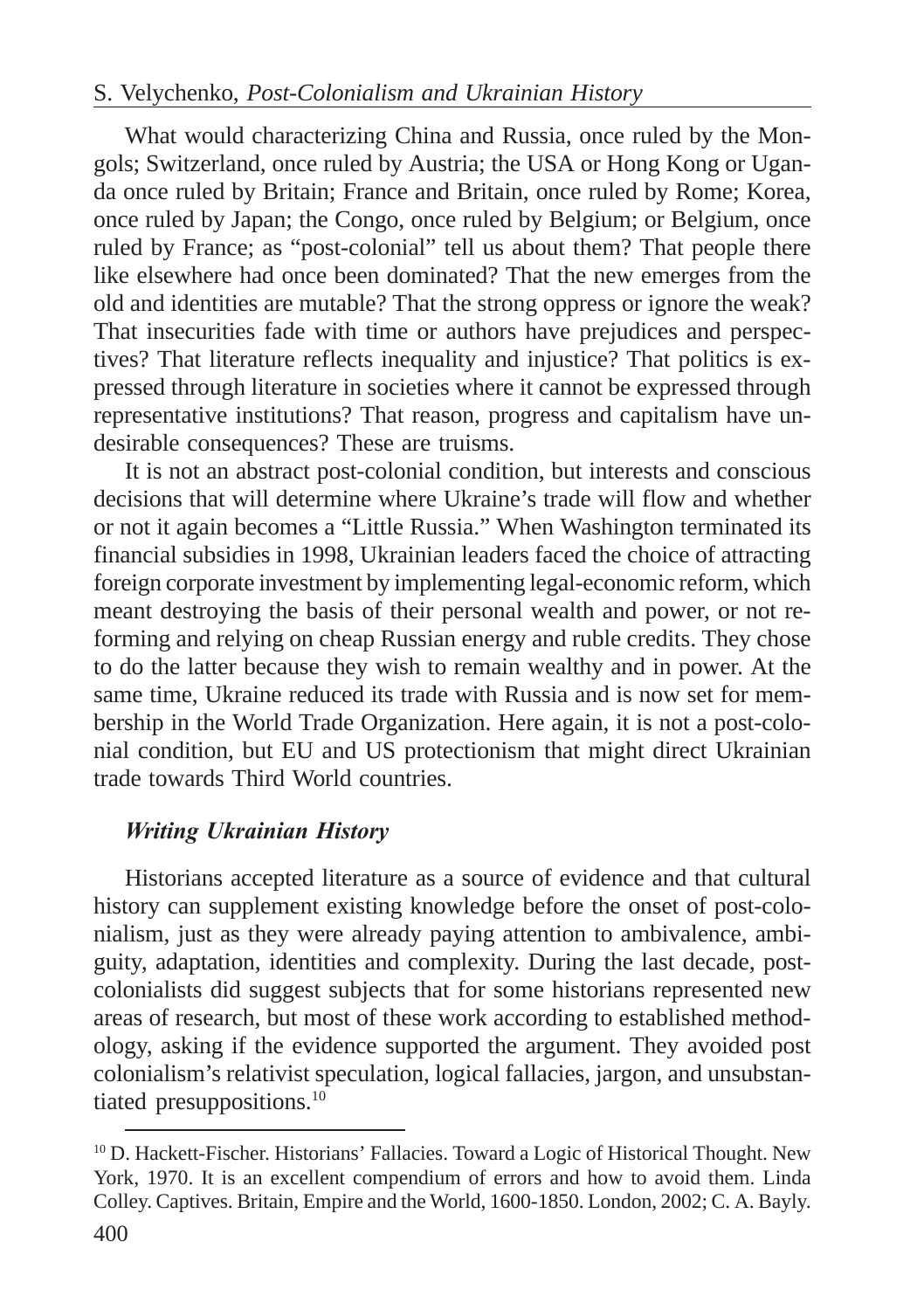### S. Velychenko, *Post-Colonialism and Ukrainian History*

What would characterizing China and Russia, once ruled by the Mongols; Switzerland, once ruled by Austria; the USA or Hong Kong or Uganda once ruled by Britain; France and Britain, once ruled by Rome; Korea, once ruled by Japan; the Congo, once ruled by Belgium; or Belgium, once ruled by France; as "post-colonial" tell us about them? That people there like elsewhere had once been dominated? That the new emerges from the old and identities are mutable? That the strong oppress or ignore the weak? That insecurities fade with time or authors have prejudices and perspectives? That literature reflects inequality and injustice? That politics is expressed through literature in societies where it cannot be expressed through representative institutions? That reason, progress and capitalism have undesirable consequences? These are truisms.

It is not an abstract post-colonial condition, but interests and conscious decisions that will determine where Ukraine's trade will flow and whether or not it again becomes a "Little Russia." When Washington terminated its financial subsidies in 1998, Ukrainian leaders faced the choice of attracting foreign corporate investment by implementing legal-economic reform, which meant destroying the basis of their personal wealth and power, or not reforming and relying on cheap Russian energy and ruble credits. They chose to do the latter because they wish to remain wealthy and in power. At the same time, Ukraine reduced its trade with Russia and is now set for membership in the World Trade Organization. Here again, it is not a post-colonial condition, but EU and US protectionism that might direct Ukrainian trade towards Third World countries.

### **Writing Ukrainian History**

Historians accepted literature as a source of evidence and that cultural history can supplement existing knowledge before the onset of post-colonialism, just as they were already paying attention to ambivalence, ambiguity, adaptation, identities and complexity. During the last decade, postcolonialists did suggest subjects that for some historians represented new areas of research, but most of these work according to established methodology, asking if the evidence supported the argument. They avoided post colonialism's relativist speculation, logical fallacies, jargon, and unsubstantiated presuppositions.10

<sup>&</sup>lt;sup>10</sup> D. Hackett-Fischer. Historians' Fallacies. Toward a Logic of Historical Thought. New York, 1970. It is an excellent compendium of errors and how to avoid them. Linda Colley. Captives. Britain, Empire and the World, 1600-1850. London, 2002; C. A. Bayly.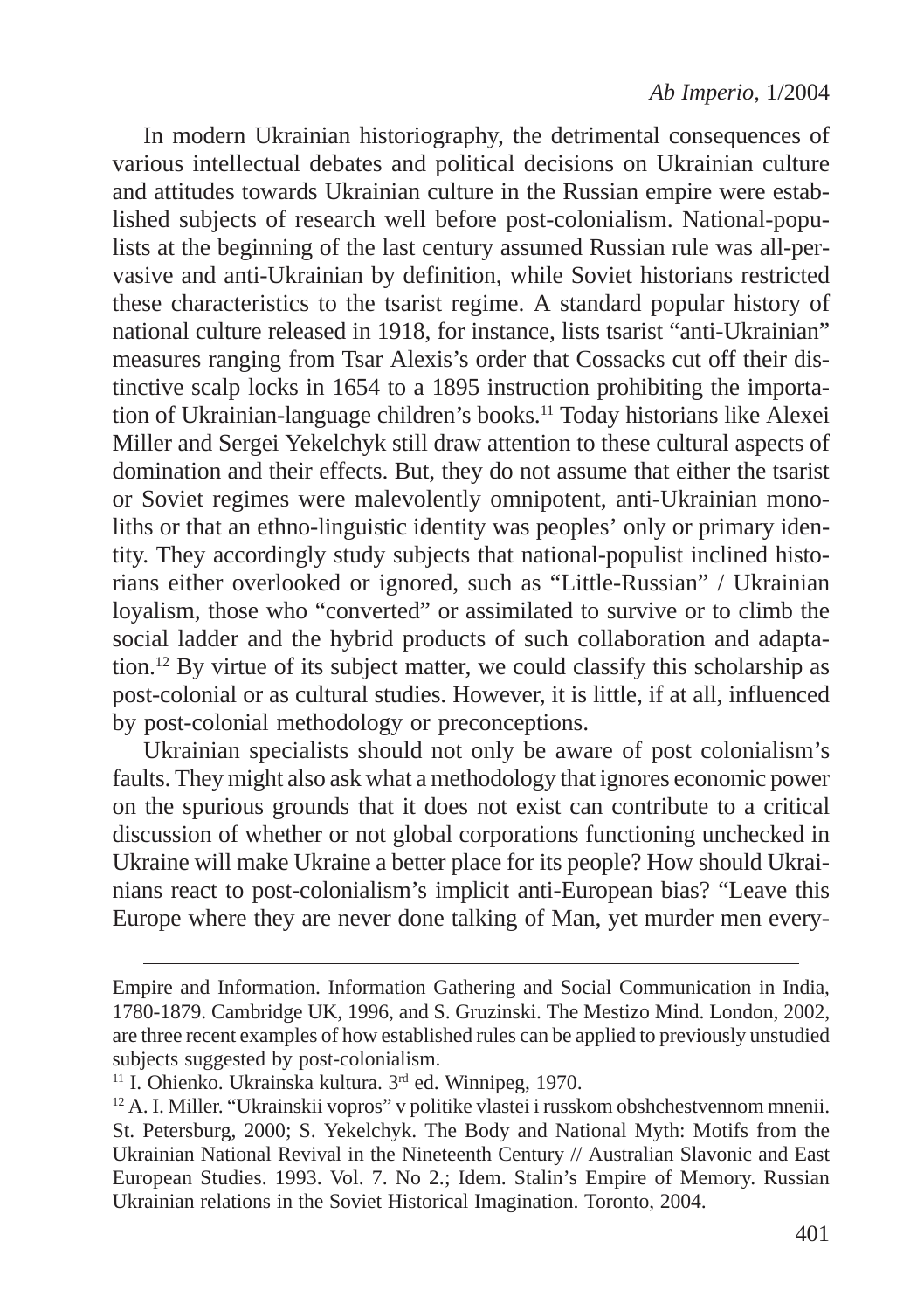In modern Ukrainian historiography, the detrimental consequences of various intellectual debates and political decisions on Ukrainian culture and attitudes towards Ukrainian culture in the Russian empire were established subjects of research well before post-colonialism. National-populists at the beginning of the last century assumed Russian rule was all-pervasive and anti-Ukrainian by definition, while Soviet historians restricted these characteristics to the tsarist regime. A standard popular history of national culture released in 1918, for instance, lists tsarist "anti-Ukrainian" measures ranging from Tsar Alexis's order that Cossacks cut off their distinctive scalp locks in 1654 to a 1895 instruction prohibiting the importation of Ukrainian-language children's books.<sup>11</sup> Today historians like Alexei Miller and Sergei Yekelchyk still draw attention to these cultural aspects of domination and their effects. But, they do not assume that either the tsarist or Soviet regimes were malevolently omnipotent, anti-Ukrainian monoliths or that an ethno-linguistic identity was peoples' only or primary identity. They accordingly study subjects that national-populist inclined historians either overlooked or ignored, such as "Little-Russian" / Ukrainian loyalism, those who "converted" or assimilated to survive or to climb the social ladder and the hybrid products of such collaboration and adaptation.12 By virtue of its subject matter, we could classify this scholarship as post-colonial or as cultural studies. However, it is little, if at all, influenced by post-colonial methodology or preconceptions.

Ukrainian specialists should not only be aware of post colonialism's faults. They might also ask what a methodology that ignores economic power on the spurious grounds that it does not exist can contribute to a critical discussion of whether or not global corporations functioning unchecked in Ukraine will make Ukraine a better place for its people? How should Ukrainians react to post-colonialism's implicit anti-European bias? "Leave this Europe where they are never done talking of Man, yet murder men every-

Empire and Information. Information Gathering and Social Communication in India, 1780-1879. Cambridge UK, 1996, and S. Gruzinski. The Mestizo Mind. London, 2002, are three recent examples of how established rules can be applied to previously unstudied subjects suggested by post-colonialism.

<sup>&</sup>lt;sup>11</sup> I. Ohienko. Ukrainska kultura.  $3<sup>rd</sup>$  ed. Winnipeg, 1970.

<sup>&</sup>lt;sup>12</sup> A. I. Miller. "Ukrainskii vopros" v politike vlastei i russkom obshchestvennom mnenii. St. Petersburg, 2000; S. Yekelchyk. The Body and National Myth: Motifs from the Ukrainian National Revival in the Nineteenth Century // Australian Slavonic and East European Studies. 1993. Vol. 7. No 2.; Idem. Stalin's Empire of Memory. Russian Ukrainian relations in the Soviet Historical Imagination. Toronto, 2004.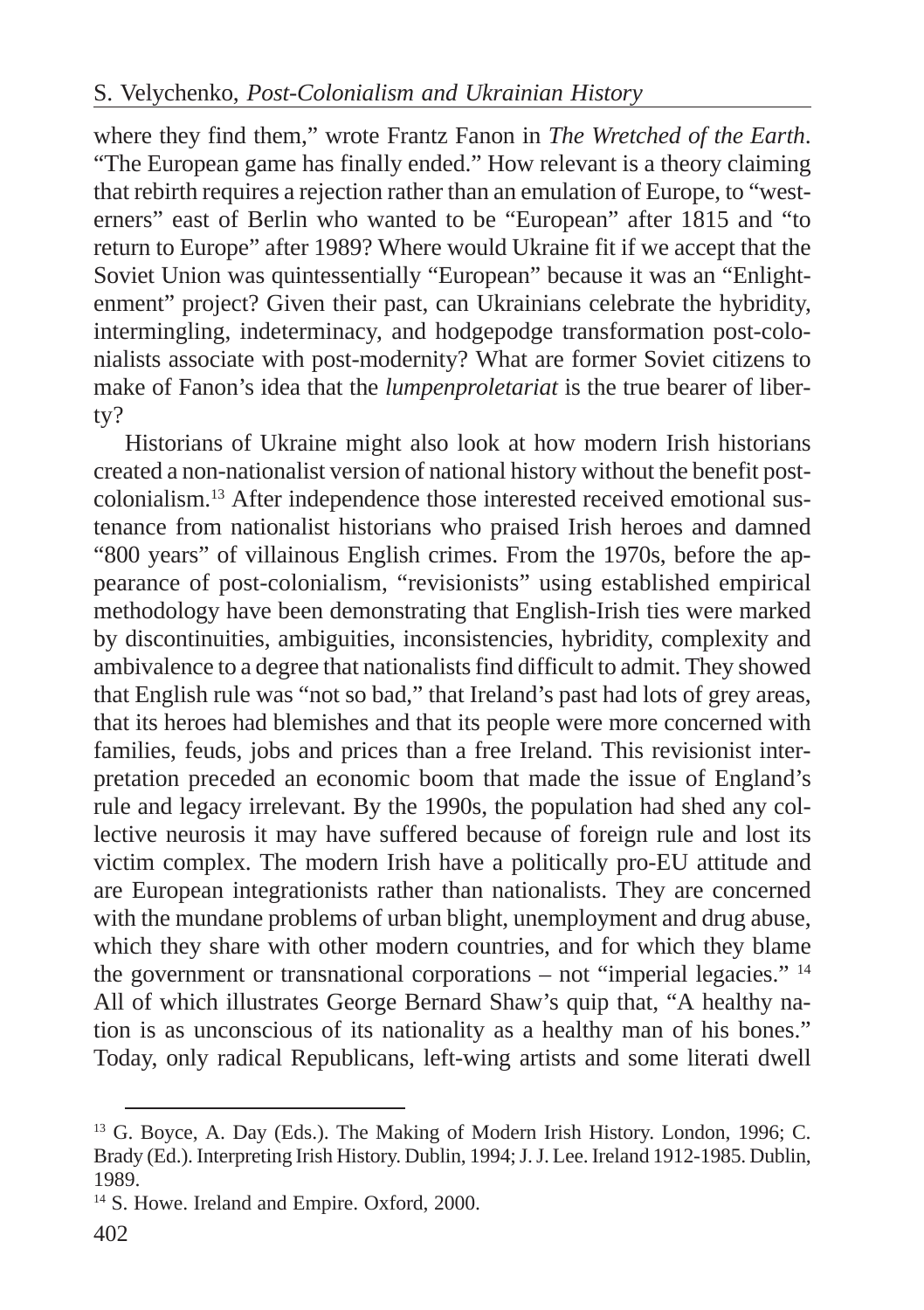where they find them," wrote Frantz Fanon in *The Wretched of the Earth*. "The European game has finally ended." How relevant is a theory claiming that rebirth requires a rejection rather than an emulation of Europe, to "westerners" east of Berlin who wanted to be "European" after 1815 and "to return to Europe" after 1989? Where would Ukraine fit if we accept that the Soviet Union was quintessentially "European" because it was an "Enlightenment" project? Given their past, can Ukrainians celebrate the hybridity, intermingling, indeterminacy, and hodgepodge transformation post-colonialists associate with post-modernity? What are former Soviet citizens to make of Fanon's idea that the *lumpenproletariat* is the true bearer of liberty?

Historians of Ukraine might also look at how modern Irish historians created a non-nationalist version of national history without the benefit postcolonialism.13 After independence those interested received emotional sustenance from nationalist historians who praised Irish heroes and damned "800 years" of villainous English crimes. From the 1970s, before the appearance of post-colonialism, "revisionists" using established empirical methodology have been demonstrating that English-Irish ties were marked by discontinuities, ambiguities, inconsistencies, hybridity, complexity and ambivalence to a degree that nationalists find difficult to admit. They showed that English rule was "not so bad," that Ireland's past had lots of grey areas, that its heroes had blemishes and that its people were more concerned with families, feuds, jobs and prices than a free Ireland. This revisionist interpretation preceded an economic boom that made the issue of England's rule and legacy irrelevant. By the 1990s, the population had shed any collective neurosis it may have suffered because of foreign rule and lost its victim complex. The modern Irish have a politically pro-EU attitude and are European integrationists rather than nationalists. They are concerned with the mundane problems of urban blight, unemployment and drug abuse, which they share with other modern countries, and for which they blame the government or transnational corporations – not "imperial legacies." 14 All of which illustrates George Bernard Shaw's quip that, "A healthy nation is as unconscious of its nationality as a healthy man of his bones." Today, only radical Republicans, left-wing artists and some literati dwell

<sup>&</sup>lt;sup>13</sup> G. Boyce, A. Day (Eds.). The Making of Modern Irish History. London, 1996; C. Brady (Ed.). Interpreting Irish History. Dublin, 1994; J. J. Lee. Ireland 1912-1985. Dublin, 1989.

<sup>14</sup> S. Howe. Ireland and Empire. Oxford, 2000.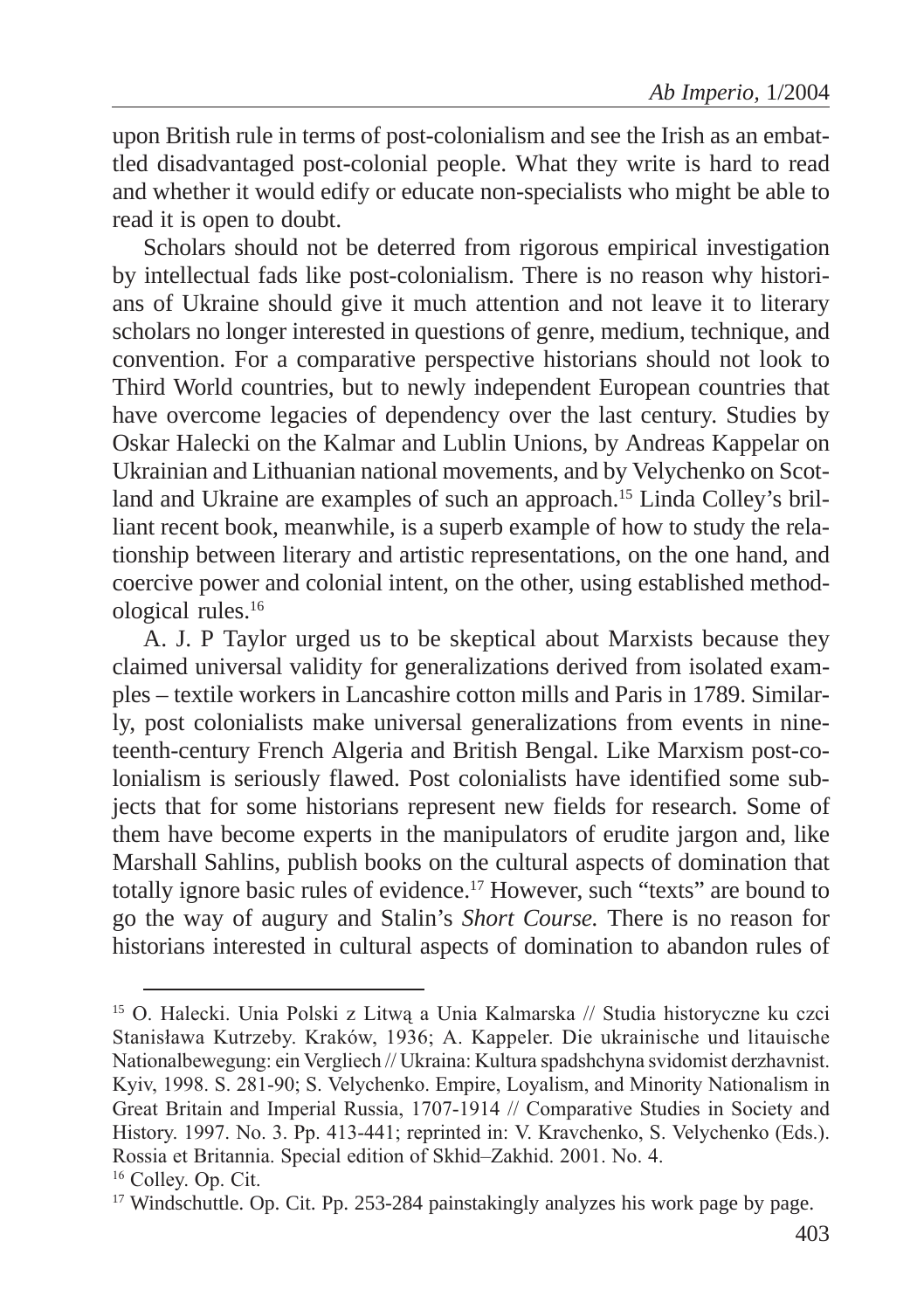upon British rule in terms of post-colonialism and see the Irish as an embattled disadvantaged post-colonial people. What they write is hard to read and whether it would edify or educate non-specialists who might be able to read it is open to doubt.

Scholars should not be deterred from rigorous empirical investigation by intellectual fads like post-colonialism. There is no reason why historians of Ukraine should give it much attention and not leave it to literary scholars no longer interested in questions of genre, medium, technique, and convention. For a comparative perspective historians should not look to Third World countries, but to newly independent European countries that have overcome legacies of dependency over the last century. Studies by Oskar Halecki on the Kalmar and Lublin Unions, by Andreas Kappelar on Ukrainian and Lithuanian national movements, and by Velychenko on Scotland and Ukraine are examples of such an approach.15 Linda Colley's brilliant recent book, meanwhile, is a superb example of how to study the relationship between literary and artistic representations, on the one hand, and coercive power and colonial intent, on the other, using established methodological rules.16

A. J. P Taylor urged us to be skeptical about Marxists because they claimed universal validity for generalizations derived from isolated examples – textile workers in Lancashire cotton mills and Paris in 1789. Similarly, post colonialists make universal generalizations from events in nineteenth-century French Algeria and British Bengal. Like Marxism post-colonialism is seriously flawed. Post colonialists have identified some subjects that for some historians represent new fields for research. Some of them have become experts in the manipulators of erudite jargon and, like Marshall Sahlins, publish books on the cultural aspects of domination that totally ignore basic rules of evidence.17 However, such "texts" are bound to go the way of augury and Stalin's *Short Course.* There is no reason for historians interested in cultural aspects of domination to abandon rules of

<sup>&</sup>lt;sup>15</sup> O. Halecki. Unia Polski z Litwą a Unia Kalmarska // Studia historyczne ku czci Stanisława Kutrzeby. Kraków, 1936; A. Kappeler. Die ukrainische und litauische Nationalbewegung: ein Vergliech // Ukraina: Kultura spadshchyna svidomist derzhavnist. Kyiv, 1998. S. 281-90; S. Velychenko. Empire, Loyalism, and Minority Nationalism in Great Britain and Imperial Russia, 1707-1914 // Comparative Studies in Society and History. 1997. No. 3. Pp. 413-441; reprinted in: V. Kravchenko, S. Velychenko (Eds.). Rossia et Britannia. Special edition of Skhid-Zakhid. 2001. No. 4.

<sup>&</sup>lt;sup>16</sup> Colley. Op. Cit.

<sup>&</sup>lt;sup>17</sup> Windschuttle. Op. Cit. Pp. 253-284 painstakingly analyzes his work page by page.